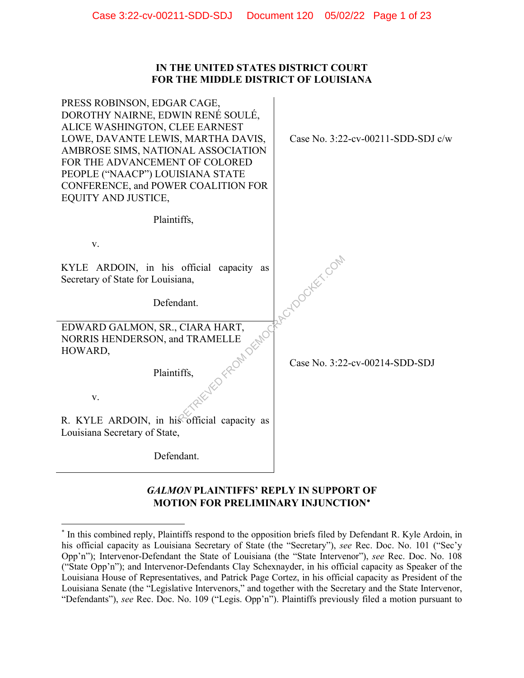### **IN THE UNITED STATES DISTRICT COURT FOR THE MIDDLE DISTRICT OF LOUISIANA**

 $\ddot{\phantom{a}}$ 

| PRESS ROBINSON, EDGAR CAGE,<br>DOROTHY NAIRNE, EDWIN RENÉ SOULÉ,<br>ALICE WASHINGTON, CLEE EARNEST<br>LOWE, DAVANTE LEWIS, MARTHA DAVIS,<br>AMBROSE SIMS, NATIONAL ASSOCIATION<br>FOR THE ADVANCEMENT OF COLORED<br>PEOPLE ("NAACP") LOUISIANA STATE<br>CONFERENCE, and POWER COALITION FOR<br>EQUITY AND JUSTICE, | Case No. 3:22-cv-00211-SDD-SDJ c/w |
|--------------------------------------------------------------------------------------------------------------------------------------------------------------------------------------------------------------------------------------------------------------------------------------------------------------------|------------------------------------|
| Plaintiffs,                                                                                                                                                                                                                                                                                                        |                                    |
| V.                                                                                                                                                                                                                                                                                                                 |                                    |
| KYLE ARDOIN, in his official capacity as<br>Secretary of State for Louisiana,                                                                                                                                                                                                                                      | RAPOOTEET COM                      |
| Defendant.                                                                                                                                                                                                                                                                                                         |                                    |
| EDWARD GALMON, SR., CIARA HART,<br>LIFE OF FROM DEMOCI<br>NORRIS HENDERSON, and TRAMELLE<br>HOWARD,                                                                                                                                                                                                                |                                    |
| Plaintiffs,                                                                                                                                                                                                                                                                                                        | Case No. 3:22-cv-00214-SDD-SDJ     |
| V.                                                                                                                                                                                                                                                                                                                 |                                    |
| R. KYLE ARDOIN, in his official capacity as<br>Louisiana Secretary of State,                                                                                                                                                                                                                                       |                                    |
| Defendant.                                                                                                                                                                                                                                                                                                         |                                    |
|                                                                                                                                                                                                                                                                                                                    |                                    |

## *GALMON* **PLAINTIFFS' REPLY IN SUPPORT OF MOTION FOR PRELIMINARY INJUNCTION**<sup>∗</sup>

<sup>\*</sup> In this combined reply, Plaintiffs respond to the opposition briefs filed by Defendant R. Kyle Ardoin, in his official capacity as Louisiana Secretary of State (the "Secretary"), *see* Rec. Doc. No. 101 ("Sec'y Opp'n"); Intervenor-Defendant the State of Louisiana (the "State Intervenor"), *see* Rec. Doc. No. 108 ("State Opp'n"); and Intervenor-Defendants Clay Schexnayder, in his official capacity as Speaker of the Louisiana House of Representatives, and Patrick Page Cortez, in his official capacity as President of the Louisiana Senate (the "Legislative Intervenors," and together with the Secretary and the State Intervenor, "Defendants"), *see* Rec. Doc. No. 109 ("Legis. Opp'n"). Plaintiffs previously filed a motion pursuant to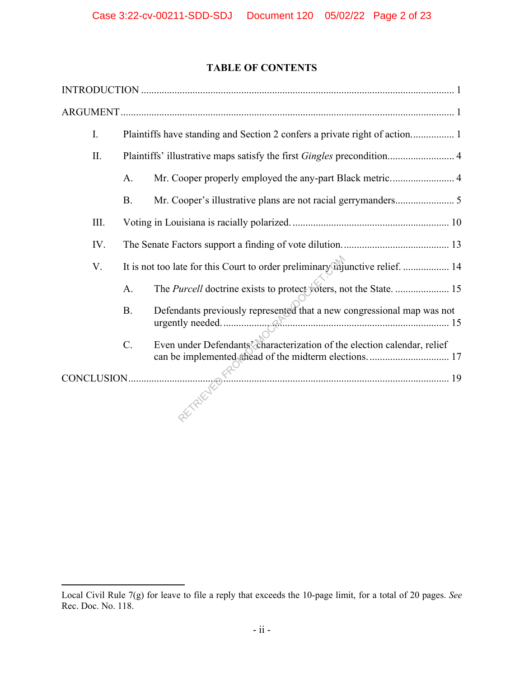## **TABLE OF CONTENTS**

| I.   | Plaintiffs have standing and Section 2 confers a private right of action 1    |                                                                          |
|------|-------------------------------------------------------------------------------|--------------------------------------------------------------------------|
| II.  | Plaintiffs' illustrative maps satisfy the first Gingles precondition 4        |                                                                          |
|      | A.                                                                            | Mr. Cooper properly employed the any-part Black metric 4                 |
|      | <b>B.</b>                                                                     |                                                                          |
| III. |                                                                               |                                                                          |
| IV.  |                                                                               |                                                                          |
| V.   | It is not too late for this Court to order preliminary injunctive relief.  14 |                                                                          |
|      | A.                                                                            | The Purcell doctrine exists to protect voters, not the State.  15        |
|      | <b>B.</b>                                                                     | Defendants previously represented that a new congressional map was not   |
|      | $C_{\cdot}$                                                                   | Even under Defendants' characterization of the election calendar, relief |
|      |                                                                               |                                                                          |
|      |                                                                               | CONCLUSION                                                               |

Local Civil Rule 7(g) for leave to file a reply that exceeds the 10-page limit, for a total of 20 pages. *See* Rec. Doc. No. 118.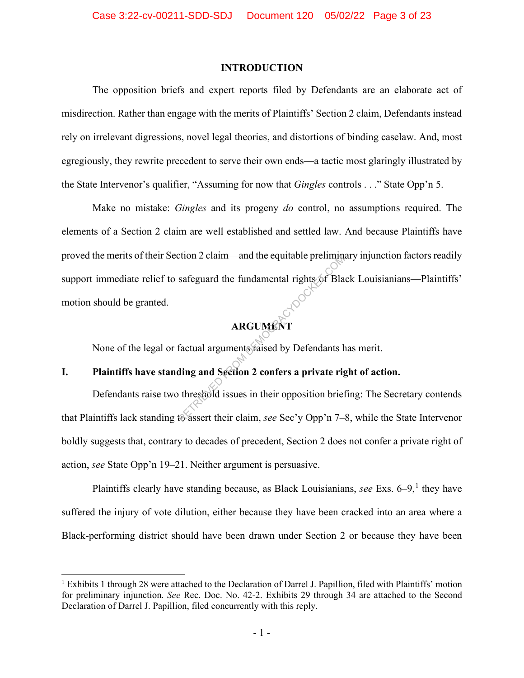#### **INTRODUCTION**

The opposition briefs and expert reports filed by Defendants are an elaborate act of misdirection. Rather than engage with the merits of Plaintiffs' Section 2 claim, Defendants instead rely on irrelevant digressions, novel legal theories, and distortions of binding caselaw. And, most egregiously, they rewrite precedent to serve their own ends—a tactic most glaringly illustrated by the State Intervenor's qualifier, "Assuming for now that *Gingles* controls . . ." State Opp'n 5.

Make no mistake: *Gingles* and its progeny *do* control, no assumptions required. The elements of a Section 2 claim are well established and settled law. And because Plaintiffs have proved the merits of their Section 2 claim—and the equitable preliminary injunction factors readily support immediate relief to safeguard the fundamental rights of Black Louisianians—Plaintiffs' motion should be granted. REGUARD FROM DEMONDIANT<br>
REGUARDIT<br>
ARGUARDIT<br>
Factual arguments raised by Defendants he<br>
ding and Section 2 confers a private right<br>
threshold issues in their opposition brief<br>
to assert their claim, *see* Sec'y Opp'n 7-

# **ARGUMENT**

None of the legal or factual arguments raised by Defendants has merit.

## **I. Plaintiffs have standing and Section 2 confers a private right of action.**

Defendants raise two threshold issues in their opposition briefing: The Secretary contends that Plaintiffs lack standing to assert their claim, *see* Sec'y Opp'n 7–8, while the State Intervenor boldly suggests that, contrary to decades of precedent, Section 2 does not confer a private right of action, *see* State Opp'n 19–21. Neither argument is persuasive.

Plaintiffs clearly have standing because, as Black Louisianians, *see* Exs. 6–9,<sup>1</sup> they have suffered the injury of vote dilution, either because they have been cracked into an area where a Black-performing district should have been drawn under Section 2 or because they have been

<sup>&</sup>lt;sup>1</sup> Exhibits 1 through 28 were attached to the Declaration of Darrel J. Papillion, filed with Plaintiffs' motion for preliminary injunction. *See* Rec. Doc. No. 42-2. Exhibits 29 through 34 are attached to the Second Declaration of Darrel J. Papillion, filed concurrently with this reply.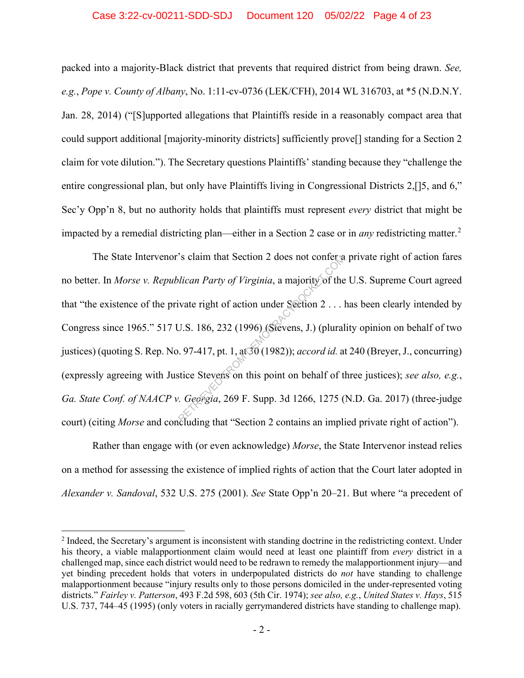packed into a majority-Black district that prevents that required district from being drawn. *See, e.g.*, *Pope v. County of Albany*, No. 1:11-cv-0736 (LEK/CFH), 2014 WL 316703, at \*5 (N.D.N.Y. Jan. 28, 2014) ("[S]upported allegations that Plaintiffs reside in a reasonably compact area that could support additional [majority-minority districts] sufficiently prove[] standing for a Section 2 claim for vote dilution."). The Secretary questions Plaintiffs' standing because they "challenge the entire congressional plan, but only have Plaintiffs living in Congressional Districts 2,[]5, and 6," Sec'y Opp'n 8, but no authority holds that plaintiffs must represent *every* district that might be impacted by a remedial districting plan—either in a Section 2 case or in *any* redistricting matter. 2

The State Intervenor's claim that Section 2 does not confer a private right of action fares no better. In *Morse v. Republican Party of Virginia*, a majority of the U.S. Supreme Court agreed that "the existence of the private right of action under Section 2 . . . has been clearly intended by Congress since 1965." 517 U.S. 186, 232 (1996) (Stevens, J.) (plurality opinion on behalf of two justices) (quoting S. Rep. No. 97-417, pt. 1, at 30 (1982)); *accord id.* at 240 (Breyer, J., concurring) (expressly agreeing with Justice Stevens on this point on behalf of three justices); *see also, e.g.*, *Ga. State Conf. of NAACP v. Georgia*, 269 F. Supp. 3d 1266, 1275 (N.D. Ga. 2017) (three-judge court) (citing *Morse* and concluding that "Section 2 contains an implied private right of action"). S claim that Section 2 does not conter a<br>*lican Party of Virginia*, a majority of the<br>ivate right of action under Section 2 ...<br>J.S. 186, 232 (1996) (Stevens, J.) (plural<br>...97-417, pt. 1, at 30 (1982)); *accord id.* a<br>st

Rather than engage with (or even acknowledge) *Morse*, the State Intervenor instead relies on a method for assessing the existence of implied rights of action that the Court later adopted in *Alexander v. Sandoval*, 532 U.S. 275 (2001). *See* State Opp'n 20–21. But where "a precedent of

 $2$  Indeed, the Secretary's argument is inconsistent with standing doctrine in the redistricting context. Under his theory, a viable malapportionment claim would need at least one plaintiff from *every* district in a challenged map, since each district would need to be redrawn to remedy the malapportionment injury—and yet binding precedent holds that voters in underpopulated districts do *not* have standing to challenge malapportionment because "injury results only to those persons domiciled in the under-represented voting districts." *Fairley v. Patterson*, 493 F.2d 598, 603 (5th Cir. 1974); *see also, e.g.*, *United States v. Hays*, 515 U.S. 737, 744–45 (1995) (only voters in racially gerrymandered districts have standing to challenge map).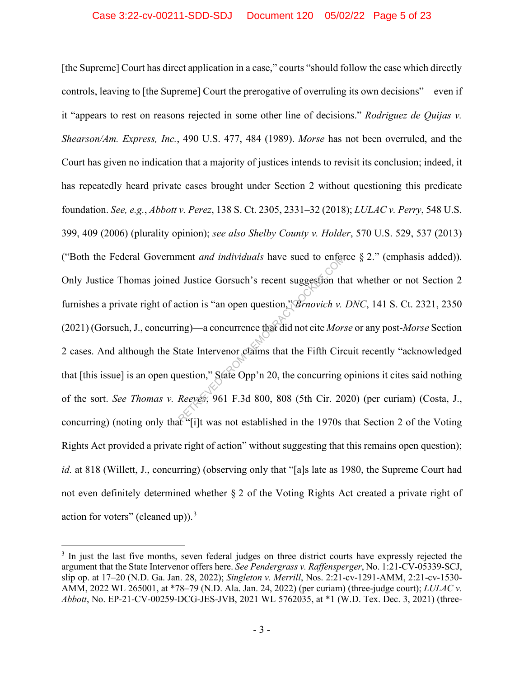[the Supreme] Court has direct application in a case," courts "should follow the case which directly controls, leaving to [the Supreme] Court the prerogative of overruling its own decisions"—even if it "appears to rest on reasons rejected in some other line of decisions." *Rodriguez de Quijas v. Shearson/Am. Express, Inc.*, 490 U.S. 477, 484 (1989). *Morse* has not been overruled, and the Court has given no indication that a majority of justices intends to revisit its conclusion; indeed, it has repeatedly heard private cases brought under Section 2 without questioning this predicate foundation. *See, e.g.*, *Abbott v. Perez*, 138 S. Ct. 2305, 2331–32 (2018); *LULAC v. Perry*, 548 U.S. 399, 409 (2006) (plurality opinion); *see also Shelby County v. Holder*, 570 U.S. 529, 537 (2013) ("Both the Federal Government *and individuals* have sued to enforce § 2." (emphasis added)). Only Justice Thomas joined Justice Gorsuch's recent suggestion that whether or not Section 2 furnishes a private right of action is "an open question," *Brnovich v. DNC*, 141 S. Ct. 2321, 2350 (2021) (Gorsuch, J., concurring)—a concurrence that did not cite *Morse* or any post-*Morse* Section 2 cases. And although the State Intervenor claims that the Fifth Circuit recently "acknowledged that [this issue] is an open question," State Opp'n 20, the concurring opinions it cites said nothing of the sort. *See Thomas v. Reeves*, 961 F.3d 800, 808 (5th Cir. 2020) (per curiam) (Costa, J., concurring) (noting only that "[i]t was not established in the 1970s that Section 2 of the Voting Rights Act provided a private right of action" without suggesting that this remains open question); *id.* at 818 (Willett, J., concurring) (observing only that "[a]s late as 1980, the Supreme Court had not even definitely determined whether § 2 of the Voting Rights Act created a private right of action for voters" (cleaned up)). $^3$ ment *and individuals* have sued to enter<br>
I Justice Gorsuch's recent suggestion th<br>
ction is "an open question," *Brnovich v*.<br>
ing)—a concurrence that did not cite *Mor*:<br>
tate Intervenor claims that the Fifth Circulatio

<sup>&</sup>lt;sup>3</sup> In just the last five months, seven federal judges on three district courts have expressly rejected the argument that the State Intervenor offers here. *See Pendergrass v. Raffensperger*, No. 1:21-CV-05339-SCJ, slip op. at 17–20 (N.D. Ga. Jan. 28, 2022); *Singleton v. Merrill*, Nos. 2:21-cv-1291-AMM, 2:21-cv-1530- AMM, 2022 WL 265001, at \*78–79 (N.D. Ala. Jan. 24, 2022) (per curiam) (three-judge court); *LULAC v. Abbott*, No. EP-21-CV-00259-DCG-JES-JVB, 2021 WL 5762035, at \*1 (W.D. Tex. Dec. 3, 2021) (three-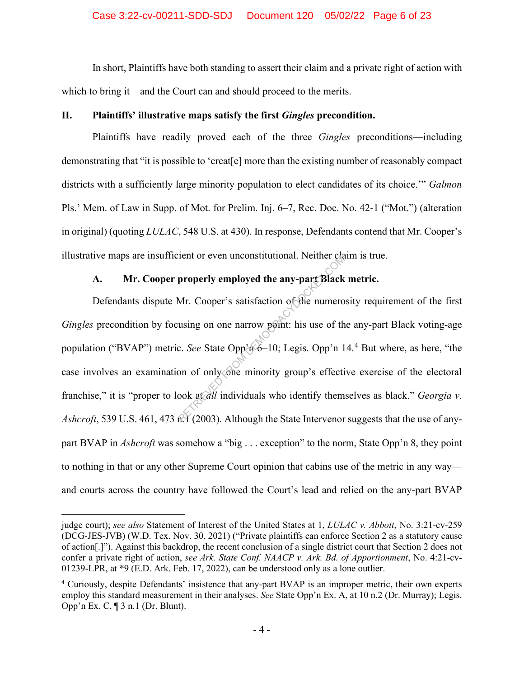In short, Plaintiffs have both standing to assert their claim and a private right of action with which to bring it—and the Court can and should proceed to the merits.

## **II. Plaintiffs' illustrative maps satisfy the first** *Gingles* **precondition.**

Plaintiffs have readily proved each of the three *Gingles* preconditions—including demonstrating that "it is possible to 'creat[e] more than the existing number of reasonably compact districts with a sufficiently large minority population to elect candidates of its choice.'" *Galmon* Pls.' Mem. of Law in Supp. of Mot. for Prelim. Inj. 6–7, Rec. Doc. No. 42-1 ("Mot.") (alteration in original) (quoting *LULAC*, 548 U.S. at 430). In response, Defendants contend that Mr. Cooper's illustrative maps are insufficient or even unconstitutional. Neither claim is true.

## **A. Mr. Cooper properly employed the any-part Black metric.**

Defendants dispute Mr. Cooper's satisfaction of the numerosity requirement of the first *Gingles* precondition by focusing on one narrow point: his use of the any-part Black voting-age population ("BVAP") metric. *See* State Opp'n 6–10; Legis. Opp'n 14.<sup>4</sup> But where, as here, "the case involves an examination of only one minority group's effective exercise of the electoral franchise," it is "proper to look at *all* individuals who identify themselves as black." *Georgia v. Ashcroft*, 539 U.S. 461, 473 n.1 (2003). Although the State Intervenor suggests that the use of anypart BVAP in *Ashcroft* was somehow a "big . . . exception" to the norm, State Opp'n 8, they point to nothing in that or any other Supreme Court opinion that cabins use of the metric in any way and courts across the country have followed the Court's lead and relied on the any-part BVAP properly employed the any-part Black<br>properly employed the any-part Black<br>Mr. Cooper's satisfaction of the numero<br>using on one narrow peint: his use of th<br>c. See State Opp'n 6–10; Legis. Opp'n 1<br>on of only one minority gro

judge court); *see also* Statement of Interest of the United States at 1, *LULAC v. Abbott*, No. 3:21-cv-259 (DCG-JES-JVB) (W.D. Tex. Nov. 30, 2021) ("Private plaintiffs can enforce Section 2 as a statutory cause of action[.]"). Against this backdrop, the recent conclusion of a single district court that Section 2 does not confer a private right of action, *see Ark. State Conf. NAACP v. Ark. Bd. of Apportionment*, No. 4:21-cv-01239-LPR, at \*9 (E.D. Ark. Feb. 17, 2022), can be understood only as a lone outlier.

<sup>&</sup>lt;sup>4</sup> Curiously, despite Defendants' insistence that any-part BVAP is an improper metric, their own experts employ this standard measurement in their analyses. *See* State Opp'n Ex. A, at 10 n.2 (Dr. Murray); Legis. Opp'n Ex. C, ¶ 3 n.1 (Dr. Blunt).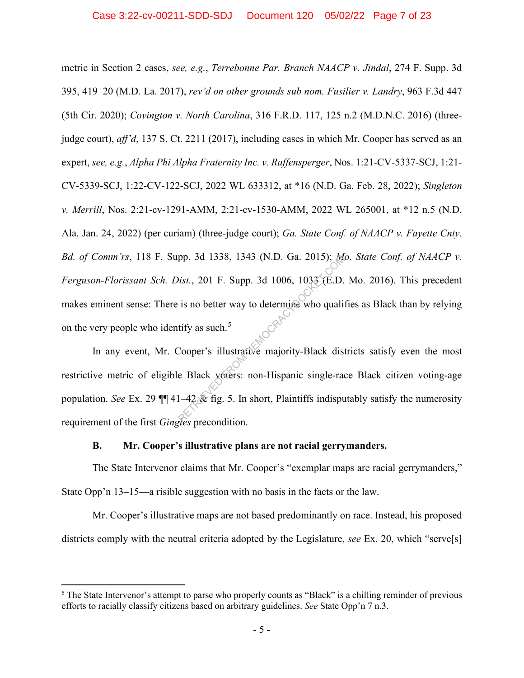metric in Section 2 cases, *see, e.g.*, *Terrebonne Par. Branch NAACP v. Jindal*, 274 F. Supp. 3d 395, 419–20 (M.D. La. 2017), *rev'd on other grounds sub nom. Fusilier v. Landry*, 963 F.3d 447 (5th Cir. 2020); *Covington v. North Carolina*, 316 F.R.D. 117, 125 n.2 (M.D.N.C. 2016) (threejudge court), *aff'd*, 137 S. Ct. 2211 (2017), including cases in which Mr. Cooper has served as an expert, *see, e.g.*, *Alpha Phi Alpha Fraternity Inc. v. Raffensperger*, Nos. 1:21-CV-5337-SCJ, 1:21- CV-5339-SCJ, 1:22-CV-122-SCJ, 2022 WL 633312, at \*16 (N.D. Ga. Feb. 28, 2022); *Singleton v. Merrill*, Nos. 2:21-cv-1291-AMM, 2:21-cv-1530-AMM, 2022 WL 265001, at \*12 n.5 (N.D. Ala. Jan. 24, 2022) (per curiam) (three-judge court); *Ga. State Conf. of NAACP v. Fayette Cnty. Bd. of Comm'rs*, 118 F. Supp. 3d 1338, 1343 (N.D. Ga. 2015); *Mo. State Conf. of NAACP v. Ferguson-Florissant Sch. Dist.*, 201 F. Supp. 3d 1006, 1033 (E.D. Mo. 2016). This precedent makes eminent sense: There is no better way to determine who qualifies as Black than by relying on the very people who identify as such.<sup>5</sup> pp. 3d 1338, 1343 (N.D. Ga. 2015); Maintenant Report Comparison (Resp. 2011)<br>is no better way to determine who quality as such.<sup>5</sup><br>Cooper's illustrative majority-Black dist<br>e Black yoters: non-Hispanic single-rad<br>1–42 Exp

In any event, Mr. Cooper's illustrative majority-Black districts satisfy even the most restrictive metric of eligible Black voters: non-Hispanic single-race Black citizen voting-age population. *See* Ex. 29 ¶¶ 41–42 & fig. 5. In short, Plaintiffs indisputably satisfy the numerosity requirement of the first *Gingles* precondition.

#### **B. Mr. Cooper's illustrative plans are not racial gerrymanders.**

The State Intervenor claims that Mr. Cooper's "exemplar maps are racial gerrymanders," State Opp'n 13–15—a risible suggestion with no basis in the facts or the law.

Mr. Cooper's illustrative maps are not based predominantly on race. Instead, his proposed districts comply with the neutral criteria adopted by the Legislature, *see* Ex. 20, which "serve[s]

<sup>&</sup>lt;sup>5</sup> The State Intervenor's attempt to parse who properly counts as "Black" is a chilling reminder of previous efforts to racially classify citizens based on arbitrary guidelines. *See* State Opp'n 7 n.3.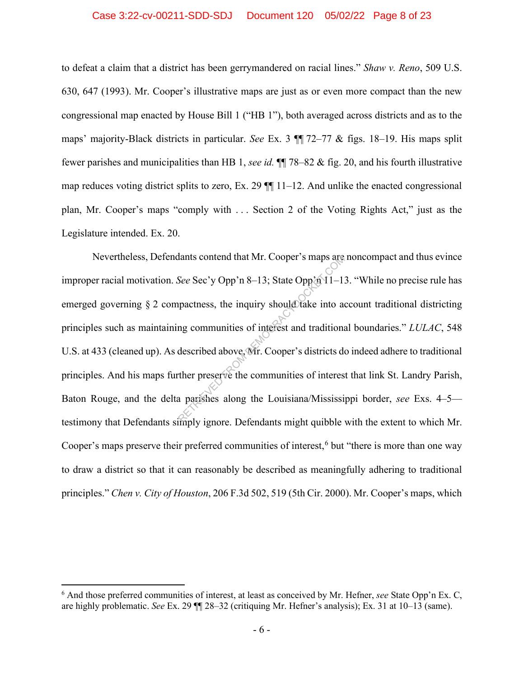#### Case 3:22-cv-00211-SDD-SDJ Document 120 05/02/22 Page 8 of 23

to defeat a claim that a district has been gerrymandered on racial lines." *Shaw v. Reno*, 509 U.S. 630, 647 (1993). Mr. Cooper's illustrative maps are just as or even more compact than the new congressional map enacted by House Bill 1 ("HB 1"), both averaged across districts and as to the maps' majority-Black districts in particular. *See* Ex. 3 ¶¶ 72–77 & figs. 18–19. His maps split fewer parishes and municipalities than HB 1, *see id.* ¶¶ 78–82 & fig. 20, and his fourth illustrative map reduces voting district splits to zero, Ex. 29 ¶¶ 11–12. And unlike the enacted congressional plan, Mr. Cooper's maps "comply with . . . Section 2 of the Voting Rights Act," just as the Legislature intended. Ex. 20.

Nevertheless, Defendants contend that Mr. Cooper's maps are noncompact and thus evince improper racial motivation. *See* Sec'y Opp'n 8–13; State Opp'n 11–13. "While no precise rule has emerged governing  $\S 2$  compactness, the inquiry should take into account traditional districting principles such as maintaining communities of interest and traditional boundaries." *LULAC*, 548 U.S. at 433 (cleaned up). As described above, Mr. Cooper's districts do indeed adhere to traditional principles. And his maps further preserve the communities of interest that link St. Landry Parish, Baton Rouge, and the delta parishes along the Louisiana/Mississippi border, *see* Exs. 4–5 testimony that Defendants simply ignore. Defendants might quibble with the extent to which Mr. Cooper's maps preserve their preferred communities of interest,<sup>6</sup> but "there is more than one way to draw a district so that it can reasonably be described as meaningfully adhering to traditional principles." *Chen v. City of Houston*, 206 F.3d 502, 519 (5th Cir. 2000). Mr. Cooper's maps, which Mants contend that Mr. Cooper's maps are<br>See Sec'y Opp'n 8–13; State Opp'n 11–1.<br>pactness, the inquiry should take into a<br>ng communities of interest and traditional<br>described above. Mr. Cooper's districts do<br>ther preserve

<sup>6</sup> And those preferred communities of interest, at least as conceived by Mr. Hefner, *see* State Opp'n Ex. C, are highly problematic. *See* Ex. 29 ¶¶ 28–32 (critiquing Mr. Hefner's analysis); Ex. 31 at 10–13 (same).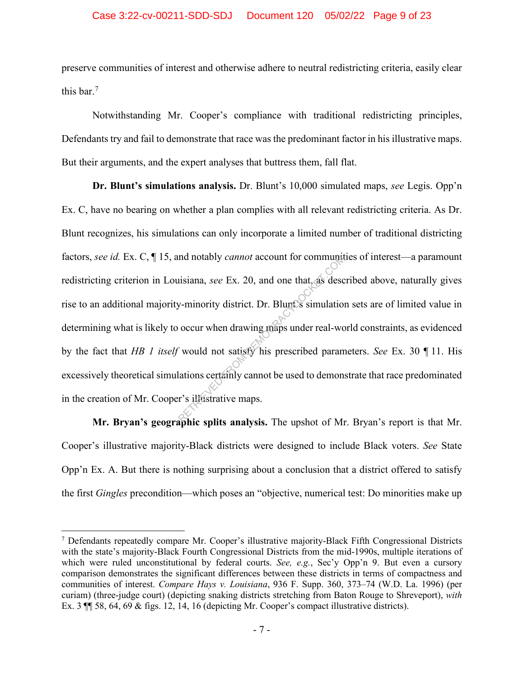preserve communities of interest and otherwise adhere to neutral redistricting criteria, easily clear this bar.<sup>7</sup>

Notwithstanding Mr. Cooper's compliance with traditional redistricting principles, Defendants try and fail to demonstrate that race was the predominant factor in his illustrative maps. But their arguments, and the expert analyses that buttress them, fall flat.

**Dr. Blunt's simulations analysis.** Dr. Blunt's 10,000 simulated maps, *see* Legis. Opp'n Ex. C, have no bearing on whether a plan complies with all relevant redistricting criteria. As Dr. Blunt recognizes, his simulations can only incorporate a limited number of traditional districting factors, *see id.* Ex. C, ¶ 15, and notably *cannot* account for communities of interest—a paramount redistricting criterion in Louisiana, *see* Ex. 20, and one that, as described above, naturally gives rise to an additional majority-minority district. Dr. Blunt's simulation sets are of limited value in determining what is likely to occur when drawing maps under real-world constraints, as evidenced by the fact that *HB 1 itself* would not satisfy his prescribed parameters. *See* Ex. 30 ¶ 11. His excessively theoretical simulations certainly cannot be used to demonstrate that race predominated in the creation of Mr. Cooper's illustrative maps. and notably *cannot* account for community<br>isiana, see Ex. 20, and one that, as described<br>w-minority district. Dr. Blunt<sup>2</sup>s simulation<br>occur when drawing maps under real-work<br>would not satisfy his prescribed param<br>lations

**Mr. Bryan's geographic splits analysis.** The upshot of Mr. Bryan's report is that Mr. Cooper's illustrative majority-Black districts were designed to include Black voters. *See* State Opp'n Ex. A. But there is nothing surprising about a conclusion that a district offered to satisfy the first *Gingles* precondition—which poses an "objective, numerical test: Do minorities make up

<sup>7</sup> Defendants repeatedly compare Mr. Cooper's illustrative majority-Black Fifth Congressional Districts with the state's majority-Black Fourth Congressional Districts from the mid-1990s, multiple iterations of which were ruled unconstitutional by federal courts. *See, e.g.*, Sec'y Opp'n 9. But even a cursory comparison demonstrates the significant differences between these districts in terms of compactness and communities of interest. *Compare Hays v. Louisiana*, 936 F. Supp. 360, 373–74 (W.D. La. 1996) (per curiam) (three-judge court) (depicting snaking districts stretching from Baton Rouge to Shreveport), *with* Ex. 3 ¶¶ 58, 64, 69 & figs. 12, 14, 16 (depicting Mr. Cooper's compact illustrative districts).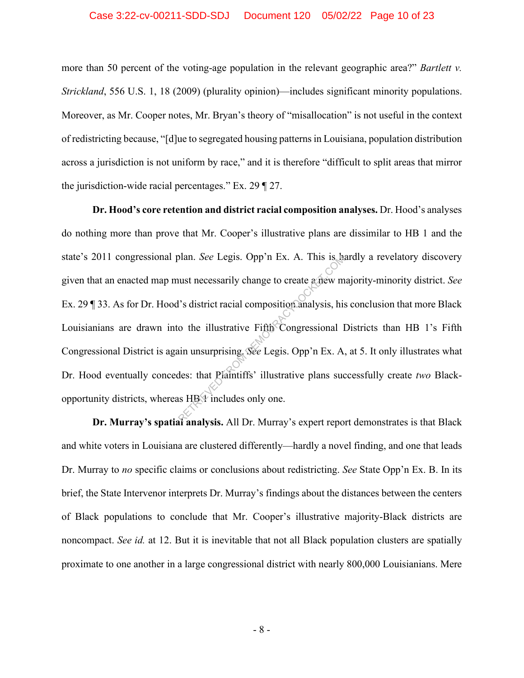#### Case 3:22-cv-00211-SDD-SDJ Document 120 05/02/22 Page 10 of 23

more than 50 percent of the voting-age population in the relevant geographic area?" *Bartlett v. Strickland*, 556 U.S. 1, 18 (2009) (plurality opinion)—includes significant minority populations. Moreover, as Mr. Cooper notes, Mr. Bryan's theory of "misallocation" is not useful in the context of redistricting because, "[d]ue to segregated housing patterns in Louisiana, population distribution across a jurisdiction is not uniform by race," and it is therefore "difficult to split areas that mirror the jurisdiction-wide racial percentages." Ex. 29 ¶ 27.

**Dr. Hood's core retention and district racial composition analyses.** Dr. Hood's analyses do nothing more than prove that Mr. Cooper's illustrative plans are dissimilar to HB 1 and the state's 2011 congressional plan. *See* Legis. Opp'n Ex. A. This is hardly a revelatory discovery given that an enacted map must necessarily change to create a new majority-minority district. *See* Ex. 29 ¶ 33. As for Dr. Hood's district racial composition analysis, his conclusion that more Black Louisianians are drawn into the illustrative Fifth Congressional Districts than HB 1's Fifth Congressional District is again unsurprising. *See* Legis. Opp'n Ex. A, at 5. It only illustrates what Dr. Hood eventually concedes: that Plaintiffs' illustrative plans successfully create *two* Blackopportunity districts, whereas HB 1 includes only one. blan. See Legis. Opp'n Ex. A. This is had<br>the state of the state of the method of the illustrative Fifth Congressional I<br>in unsurprising. See Legis. Opp'n Ex. A.<br>des: that Piantiffs' illustrative plans such as HBY includes

**Dr. Murray's spatial analysis.** All Dr. Murray's expert report demonstrates is that Black and white voters in Louisiana are clustered differently—hardly a novel finding, and one that leads Dr. Murray to *no* specific claims or conclusions about redistricting. *See* State Opp'n Ex. B. In its brief, the State Intervenor interprets Dr. Murray's findings about the distances between the centers of Black populations to conclude that Mr. Cooper's illustrative majority-Black districts are noncompact. *See id.* at 12. But it is inevitable that not all Black population clusters are spatially proximate to one another in a large congressional district with nearly 800,000 Louisianians. Mere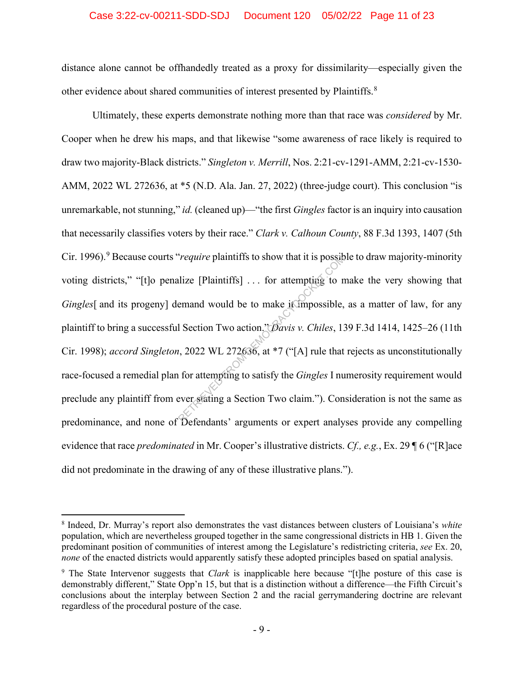### Case 3:22-cv-00211-SDD-SDJ Document 120 05/02/22 Page 11 of 23

distance alone cannot be offhandedly treated as a proxy for dissimilarity—especially given the other evidence about shared communities of interest presented by Plaintiffs.<sup>8</sup>

Ultimately, these experts demonstrate nothing more than that race was *considered* by Mr. Cooper when he drew his maps, and that likewise "some awareness of race likely is required to draw two majority-Black districts." *Singleton v. Merrill*, Nos. 2:21-cv-1291-AMM, 2:21-cv-1530- AMM, 2022 WL 272636, at \*5 (N.D. Ala. Jan. 27, 2022) (three-judge court). This conclusion "is unremarkable, not stunning," *id.* (cleaned up)—"the first *Gingles* factor is an inquiry into causation that necessarily classifies voters by their race." *Clark v. Calhoun County*, 88 F.3d 1393, 1407 (5th Cir. 1996).<sup>9</sup> Because courts "*require* plaintiffs to show that it is possible to draw majority-minority voting districts," "[t]o penalize [Plaintiffs] ... for attempting to make the very showing that *Gingles*[ and its progeny] demand would be to make it impossible, as a matter of law, for any plaintiff to bring a successful Section Two action." *Davis v. Chiles*, 139 F.3d 1414, 1425–26 (11th Cir. 1998); *accord Singleton*, 2022 WL 272636, at \*7 ("[A] rule that rejects as unconstitutionally race-focused a remedial plan for attempting to satisfy the *Gingles* I numerosity requirement would preclude any plaintiff from ever stating a Section Two claim."). Consideration is not the same as predominance, and none of Defendants' arguments or expert analyses provide any compelling evidence that race *predominated* in Mr. Cooper's illustrative districts. *Cf., e.g.*, Ex. 29 ¶ 6 ("[R]ace did not predominate in the drawing of any of these illustrative plans."). Frequire plaintiffs of show that it is possibilize [Plaintiffs] ... for attempting to normand would be to make it impossible, all Section Two action,  $\partial \overline{\partial}$  avis v. Chiles, 1.<br>1, 2022 WL 272636, at \*7 ("[A] rule that

<sup>8</sup> Indeed, Dr. Murray's report also demonstrates the vast distances between clusters of Louisiana's *white* population, which are nevertheless grouped together in the same congressional districts in HB 1. Given the predominant position of communities of interest among the Legislature's redistricting criteria, *see* Ex. 20, *none* of the enacted districts would apparently satisfy these adopted principles based on spatial analysis.

<sup>9</sup> The State Intervenor suggests that *Clark* is inapplicable here because "[t]he posture of this case is demonstrably different," State Opp'n 15, but that is a distinction without a difference—the Fifth Circuit's conclusions about the interplay between Section 2 and the racial gerrymandering doctrine are relevant regardless of the procedural posture of the case.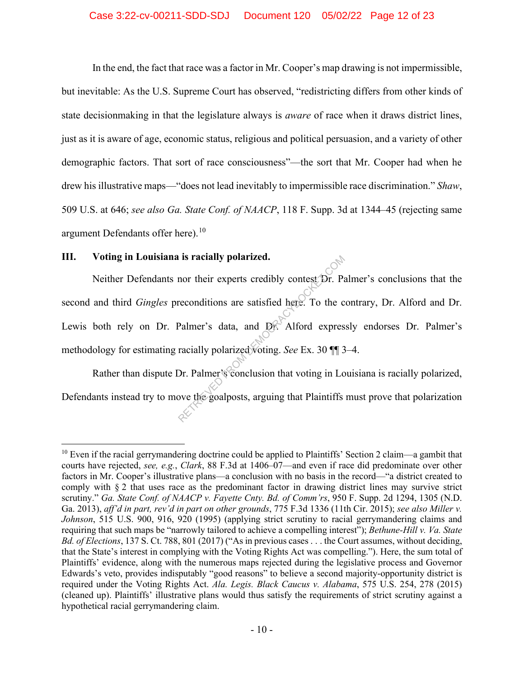#### Case 3:22-cv-00211-SDD-SDJ Document 120 05/02/22 Page 12 of 23

In the end, the fact that race was a factor in Mr. Cooper's map drawing is not impermissible, but inevitable: As the U.S. Supreme Court has observed, "redistricting differs from other kinds of state decisionmaking in that the legislature always is *aware* of race when it draws district lines, just as it is aware of age, economic status, religious and political persuasion, and a variety of other demographic factors. That sort of race consciousness"—the sort that Mr. Cooper had when he drew his illustrative maps—"does not lead inevitably to impermissible race discrimination." *Shaw*, 509 U.S. at 646; *see also Ga. State Conf. of NAACP*, 118 F. Supp. 3d at 1344–45 (rejecting same argument Defendants offer here).<sup>10</sup>

## **III. Voting in Louisiana is racially polarized.**

Neither Defendants nor their experts credibly contest Dr. Palmer's conclusions that the second and third *Gingles* preconditions are satisfied here. To the contrary, Dr. Alford and Dr. Lewis both rely on Dr. Palmer's data, and Dr. Alford expressly endorses Dr. Palmer's methodology for estimating racially polarized voting. *See* Ex. 30 ¶¶ 3–4. Retailly polarized.<br>
The reconditions are satisfied here. To the conditions are satisfied here. To the conditions are satisfied here. To the conduction of the conduction of the conclusion that voting in Lot over the goalpo

Rather than dispute Dr. Palmer's conclusion that voting in Louisiana is racially polarized, Defendants instead try to move the goalposts, arguing that Plaintiffs must prove that polarization

<sup>&</sup>lt;sup>10</sup> Even if the racial gerrymandering doctrine could be applied to Plaintiffs' Section 2 claim—a gambit that courts have rejected, *see, e.g.*, *Clark*, 88 F.3d at 1406–07—and even if race did predominate over other factors in Mr. Cooper's illustrative plans—a conclusion with no basis in the record—"a district created to comply with § 2 that uses race as the predominant factor in drawing district lines may survive strict scrutiny." *Ga. State Conf. of NAACP v. Fayette Cnty. Bd. of Comm'rs*, 950 F. Supp. 2d 1294, 1305 (N.D. Ga. 2013), *aff'd in part, rev'd in part on other grounds*, 775 F.3d 1336 (11th Cir. 2015); *see also Miller v. Johnson*, 515 U.S. 900, 916, 920 (1995) (applying strict scrutiny to racial gerrymandering claims and requiring that such maps be "narrowly tailored to achieve a compelling interest"); *Bethune-Hill v. Va. State Bd. of Elections*, 137 S. Ct. 788, 801 (2017) ("As in previous cases . . . the Court assumes, without deciding, that the State's interest in complying with the Voting Rights Act was compelling."). Here, the sum total of Plaintiffs' evidence, along with the numerous maps rejected during the legislative process and Governor Edwards's veto, provides indisputably "good reasons" to believe a second majority-opportunity district is required under the Voting Rights Act. *Ala. Legis. Black Caucus v. Alabama*, 575 U.S. 254, 278 (2015) (cleaned up). Plaintiffs' illustrative plans would thus satisfy the requirements of strict scrutiny against a hypothetical racial gerrymandering claim.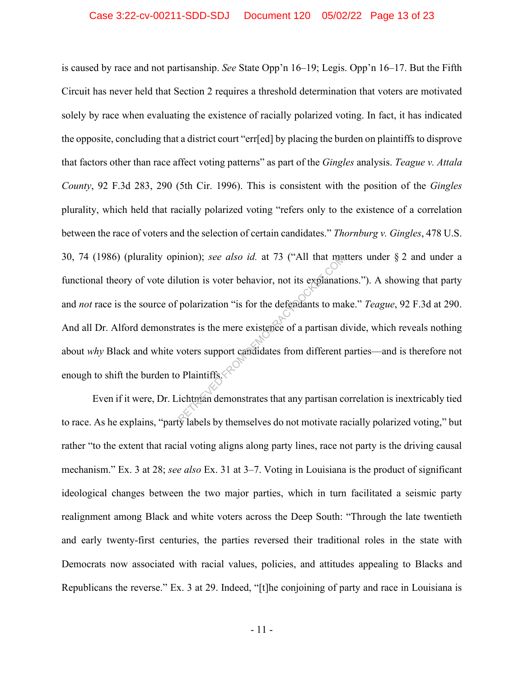is caused by race and not partisanship. *See* State Opp'n 16–19; Legis. Opp'n 16–17. But the Fifth Circuit has never held that Section 2 requires a threshold determination that voters are motivated solely by race when evaluating the existence of racially polarized voting. In fact, it has indicated the opposite, concluding that a district court "err[ed] by placing the burden on plaintiffs to disprove that factors other than race affect voting patterns" as part of the *Gingles* analysis. *Teague v. Attala County*, 92 F.3d 283, 290 (5th Cir. 1996). This is consistent with the position of the *Gingles* plurality, which held that racially polarized voting "refers only to the existence of a correlation between the race of voters and the selection of certain candidates." *Thornburg v. Gingles*, 478 U.S. 30, 74 (1986) (plurality opinion); *see also id.* at 73 ("All that matters under § 2 and under a functional theory of vote dilution is voter behavior, not its explanations."). A showing that party and *not* race is the source of polarization "is for the defendants to make." *Teague*, 92 F.3d at 290. And all Dr. Alford demonstrates is the mere existence of a partisan divide, which reveals nothing about *why* Black and white voters support candidates from different parties—and is therefore not enough to shift the burden to Plaintiffs. $\Diamond$ mion); *see also id.* at 73 ("All that maximum discussions) with the set of a particular polarization "is for the defendants to maximate is the mere existence of a partisan discussed by the measurement of particular polari

Even if it were, Dr. Lichtman demonstrates that any partisan correlation is inextricably tied to race. As he explains, "party labels by themselves do not motivate racially polarized voting," but rather "to the extent that racial voting aligns along party lines, race not party is the driving causal mechanism." Ex. 3 at 28; *see also* Ex. 31 at 3–7. Voting in Louisiana is the product of significant ideological changes between the two major parties, which in turn facilitated a seismic party realignment among Black and white voters across the Deep South: "Through the late twentieth and early twenty-first centuries, the parties reversed their traditional roles in the state with Democrats now associated with racial values, policies, and attitudes appealing to Blacks and Republicans the reverse." Ex. 3 at 29. Indeed, "[t]he conjoining of party and race in Louisiana is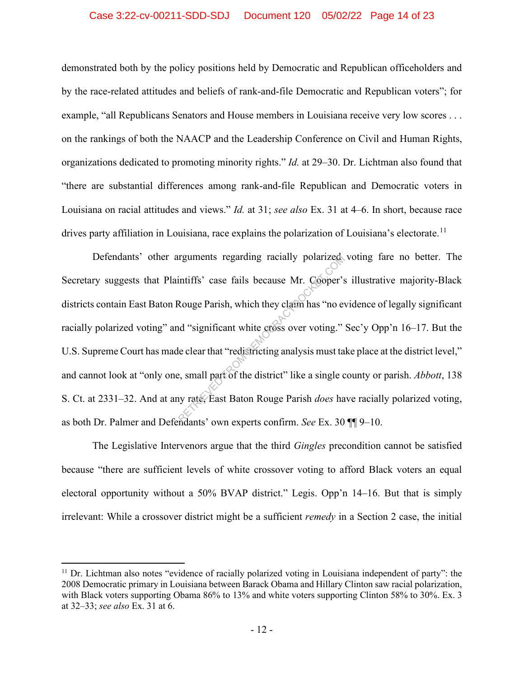#### Case 3:22-cv-00211-SDD-SDJ Document 120 05/02/22 Page 14 of 23

demonstrated both by the policy positions held by Democratic and Republican officeholders and by the race-related attitudes and beliefs of rank-and-file Democratic and Republican voters"; for example, "all Republicans Senators and House members in Louisiana receive very low scores . . . on the rankings of both the NAACP and the Leadership Conference on Civil and Human Rights, organizations dedicated to promoting minority rights." *Id.* at 29–30. Dr. Lichtman also found that "there are substantial differences among rank-and-file Republican and Democratic voters in Louisiana on racial attitudes and views." *Id.* at 31; *see also* Ex. 31 at 4–6. In short, because race drives party affiliation in Louisiana, race explains the polarization of Louisiana's electorate.<sup>11</sup>

Defendants' other arguments regarding racially polarized voting fare no better. The Secretary suggests that Plaintiffs' case fails because Mr. Cooper's illustrative majority-Black districts contain East Baton Rouge Parish, which they claim has "no evidence of legally significant racially polarized voting" and "significant white cross over voting." Sec'y Opp'n 16–17. But the U.S. Supreme Court has made clear that "redistricting analysis must take place at the district level," and cannot look at "only one, small part of the district" like a single county or parish. *Abbott*, 138 S. Ct. at 2331–32. And at any rate, East Baton Rouge Parish *does* have racially polarized voting, as both Dr. Palmer and Defendants' own experts confirm. *See* Ex. 30 ¶¶ 9–10. requirents regarding racially polarized<br>intiffs' case fails because Mr. Cooper's<br>Rouge Parish, which they claim has "no event"<br>of "significant white cross over voting."<br>le clear that "redistricting analysis must ta<br>e, smal

The Legislative Intervenors argue that the third *Gingles* precondition cannot be satisfied because "there are sufficient levels of white crossover voting to afford Black voters an equal electoral opportunity without a 50% BVAP district." Legis. Opp'n 14–16. But that is simply irrelevant: While a crossover district might be a sufficient *remedy* in a Section 2 case, the initial

 $11$  Dr. Lichtman also notes "evidence of racially polarized voting in Louisiana independent of party": the 2008 Democratic primary in Louisiana between Barack Obama and Hillary Clinton saw racial polarization, with Black voters supporting Obama 86% to 13% and white voters supporting Clinton 58% to 30%. Ex. 3 at 32–33; *see also* Ex. 31 at 6.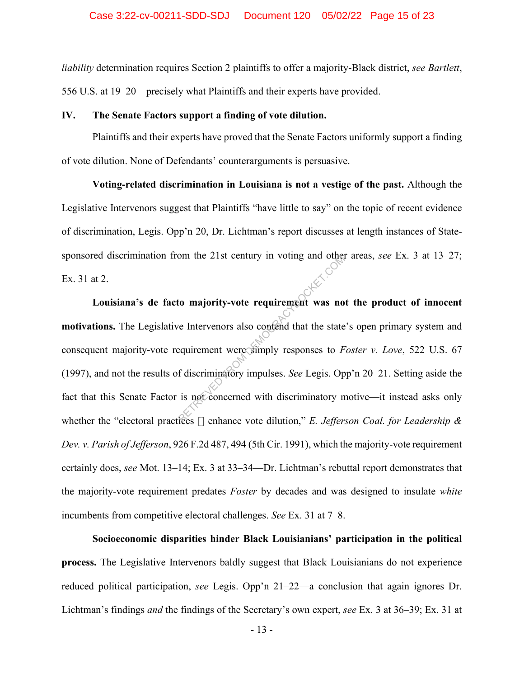*liability* determination requires Section 2 plaintiffs to offer a majority-Black district, *see Bartlett*, 556 U.S. at 19–20—precisely what Plaintiffs and their experts have provided.

#### **IV. The Senate Factors support a finding of vote dilution.**

Plaintiffs and their experts have proved that the Senate Factors uniformly support a finding of vote dilution. None of Defendants' counterarguments is persuasive.

**Voting-related discrimination in Louisiana is not a vestige of the past.** Although the Legislative Intervenors suggest that Plaintiffs "have little to say" on the topic of recent evidence of discrimination, Legis. Opp'n 20, Dr. Lichtman's report discusses at length instances of Statesponsored discrimination from the 21st century in voting and other areas, *see* Ex. 3 at 13–27; Ex. 31 at 2.

**Louisiana's de facto majority-vote requirement was not the product of innocent motivations.** The Legislative Intervenors also contend that the state's open primary system and consequent majority-vote requirement were simply responses to *Foster v. Love*, 522 U.S. 67 (1997), and not the results of discriminatory impulses. *See* Legis. Opp'n 20–21. Setting aside the fact that this Senate Factor is not concerned with discriminatory motive—it instead asks only whether the "electoral practices [] enhance vote dilution," *E. Jefferson Coal. for Leadership & Dev. v. Parish of Jefferson*, 926 F.2d 487, 494 (5th Cir. 1991), which the majority-vote requirement certainly does, *see* Mot. 13–14; Ex. 3 at 33–34—Dr. Lichtman's rebuttal report demonstrates that the majority-vote requirement predates *Foster* by decades and was designed to insulate *white* incumbents from competitive electoral challenges. *See* Ex. 31 at 7–8. FROM THE ZIST CENTRY IN VOING and other<br>to majority-vote requirement was no<br>e Intervenors also contend that the state<br>equirement were simply responses to F<br>f discriminatory impulses. See Legis. Op<br>is not concerned with dis

**Socioeconomic disparities hinder Black Louisianians' participation in the political process.** The Legislative Intervenors baldly suggest that Black Louisianians do not experience reduced political participation, *see* Legis. Opp'n 21–22—a conclusion that again ignores Dr. Lichtman's findings *and* the findings of the Secretary's own expert, *see* Ex. 3 at 36–39; Ex. 31 at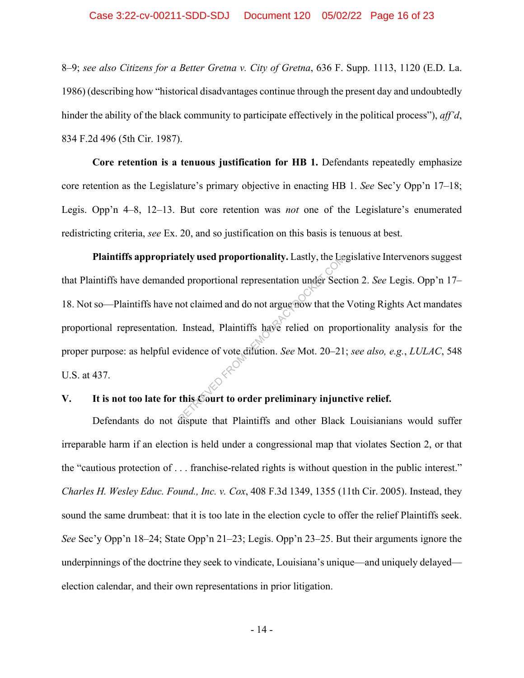#### Case 3:22-cv-00211-SDD-SDJ Document 120 05/02/22 Page 16 of 23

8–9; *see also Citizens for a Better Gretna v. City of Gretna*, 636 F. Supp. 1113, 1120 (E.D. La. 1986) (describing how "historical disadvantages continue through the present day and undoubtedly hinder the ability of the black community to participate effectively in the political process"), *aff'd*, 834 F.2d 496 (5th Cir. 1987).

**Core retention is a tenuous justification for HB 1.** Defendants repeatedly emphasize core retention as the Legislature's primary objective in enacting HB 1. *See* Sec'y Opp'n 17–18; Legis. Opp'n 4–8, 12–13. But core retention was *not* one of the Legislature's enumerated redistricting criteria, *see* Ex. 20, and so justification on this basis is tenuous at best.

**Plaintiffs appropriately used proportionality.** Lastly, the Legislative Intervenors suggest that Plaintiffs have demanded proportional representation under Section 2. *See* Legis. Opp'n 17– 18. Not so—Plaintiffs have not claimed and do not argue now that the Voting Rights Act mandates proportional representation. Instead, Plaintiffs have relied on proportionality analysis for the proper purpose: as helpful evidence of vote dilution. *See* Mot. 20–21; *see also, e.g.*, *LULAC*, 548 U.S. at 437. rely used proportionality. Lastly, the Lead proportional representation under Sect<br>not claimed and do not argue now that the<br>Instead, Plaintiffs have relied on prop<br>vidence of vote dilution. See Mot. 20–21<br>this Court to or

## **V. It is not too late for this Court to order preliminary injunctive relief.**

Defendants do not dispute that Plaintiffs and other Black Louisianians would suffer irreparable harm if an election is held under a congressional map that violates Section 2, or that the "cautious protection of . . . franchise-related rights is without question in the public interest." *Charles H. Wesley Educ. Found., Inc. v. Cox*, 408 F.3d 1349, 1355 (11th Cir. 2005). Instead, they sound the same drumbeat: that it is too late in the election cycle to offer the relief Plaintiffs seek. *See* Sec'y Opp'n 18–24; State Opp'n 21–23; Legis. Opp'n 23–25. But their arguments ignore the underpinnings of the doctrine they seek to vindicate, Louisiana's unique—and uniquely delayed election calendar, and their own representations in prior litigation.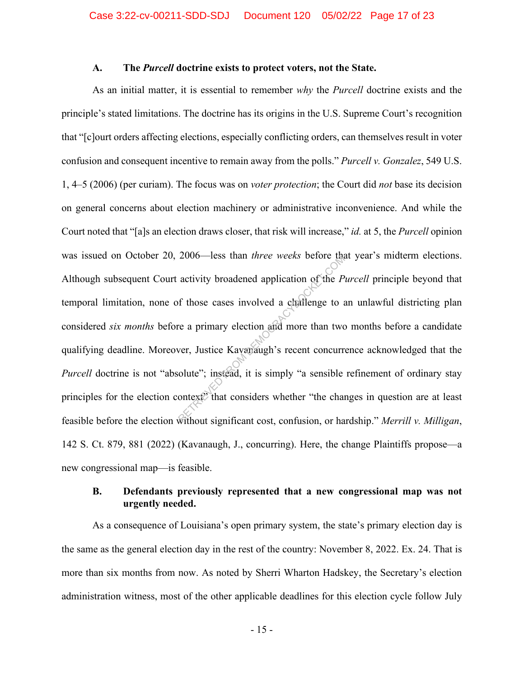#### **A. The** *Purcell* **doctrine exists to protect voters, not the State.**

As an initial matter, it is essential to remember *why* the *Purcell* doctrine exists and the principle's stated limitations. The doctrine has its origins in the U.S. Supreme Court's recognition that "[c]ourt orders affecting elections, especially conflicting orders, can themselves result in voter confusion and consequent incentive to remain away from the polls." *Purcell v. Gonzalez*, 549 U.S. 1, 4–5 (2006) (per curiam). The focus was on *voter protection*; the Court did *not* base its decision on general concerns about election machinery or administrative inconvenience. And while the Court noted that "[a]s an election draws closer, that risk will increase," *id.* at 5, the *Purcell* opinion was issued on October 20, 2006—less than *three weeks* before that year's midterm elections. Although subsequent Court activity broadened application of the *Purcell* principle beyond that temporal limitation, none of those cases involved a challenge to an unlawful districting plan considered *six months* before a primary election and more than two months before a candidate qualifying deadline. Moreover, Justice Kavanaugh's recent concurrence acknowledged that the *Purcell* doctrine is not "absolute"; instead, it is simply "a sensible refinement of ordinary stay principles for the election context? that considers whether "the changes in question are at least feasible before the election without significant cost, confusion, or hardship." *Merrill v. Milligan*, 142 S. Ct. 879, 881 (2022) (Kavanaugh, J., concurring). Here, the change Plaintiffs propose—a new congressional map—is feasible. 2000—less than *linee* weeks before the<br>activity broadened application of the *P*<br>f those cases involved a challenge to a<br>re a primary election and more than two<br>wer, Justice Kavanaugh's recent concurr<br>olute"; instead, it

## **B. Defendants previously represented that a new congressional map was not urgently needed.**

As a consequence of Louisiana's open primary system, the state's primary election day is the same as the general election day in the rest of the country: November 8, 2022. Ex. 24. That is more than six months from now. As noted by Sherri Wharton Hadskey, the Secretary's election administration witness, most of the other applicable deadlines for this election cycle follow July

- 15 -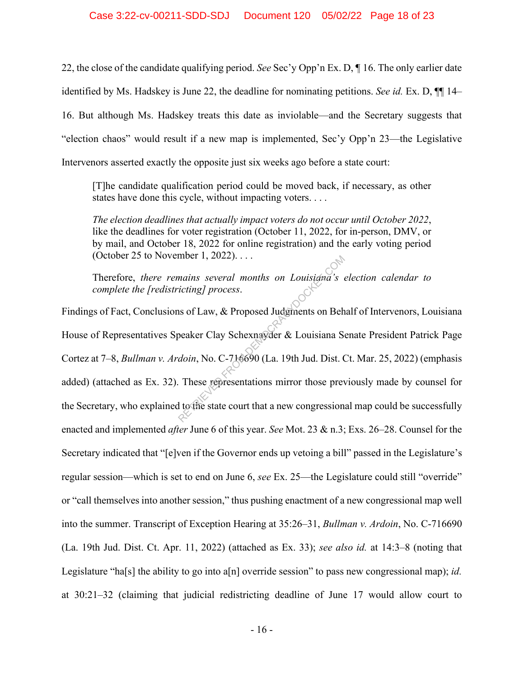22, the close of the candidate qualifying period. *See* Sec'y Opp'n Ex. D, ¶ 16. The only earlier date identified by Ms. Hadskey is June 22, the deadline for nominating petitions. *See id.* Ex. D, ¶¶ 14– 16. But although Ms. Hadskey treats this date as inviolable—and the Secretary suggests that "election chaos" would result if a new map is implemented, Sec'y Opp'n 23—the Legislative Intervenors asserted exactly the opposite just six weeks ago before a state court:

[T]he candidate qualification period could be moved back, if necessary, as other states have done this cycle, without impacting voters. . . .

*The election deadlines that actually impact voters do not occur until October 2022*, like the deadlines for voter registration (October 11, 2022, for in-person, DMV, or by mail, and October 18, 2022 for online registration) and the early voting period (October 25 to November 1, 2022). . . .

Therefore, *there remains several months on Louisiana's election calendar to complete the [redistricting] process*.

Findings of Fact, Conclusions of Law, & Proposed Judgments on Behalf of Intervenors, Louisiana House of Representatives Speaker Clay Schexnayder & Louisiana Senate President Patrick Page Cortez at 7–8, *Bullman v. Ardoin*, No. C-716690 (La. 19th Jud. Dist. Ct. Mar. 25, 2022) (emphasis added) (attached as Ex. 32). These representations mirror those previously made by counsel for the Secretary, who explained to the state court that a new congressional map could be successfully enacted and implemented *after* June 6 of this year. *See* Mot. 23 & n.3; Exs. 26–28. Counsel for the Secretary indicated that "[e]ven if the Governor ends up vetoing a bill" passed in the Legislature's regular session—which is set to end on June 6, *see* Ex. 25—the Legislature could still "override" or "call themselves into another session," thus pushing enactment of a new congressional map well into the summer. Transcript of Exception Hearing at 35:26–31, *Bullman v. Ardoin*, No. C-716690 (La. 19th Jud. Dist. Ct. Apr. 11, 2022) (attached as Ex. 33); *see also id.* at 14:3–8 (noting that Legislature "ha[s] the ability to go into a[n] override session" to pass new congressional map); *id.* at 30:21–32 (claiming that judicial redistricting deadline of June 17 would allow court to mains several months on Louisiana's<br>icting] process.<br>Subsetting process.<br>Subset Clay Schexnayder & Louisiana Seconds.<br>About, No. C-716690 (La. 19th Jud. Dist. Compared Notice 2014).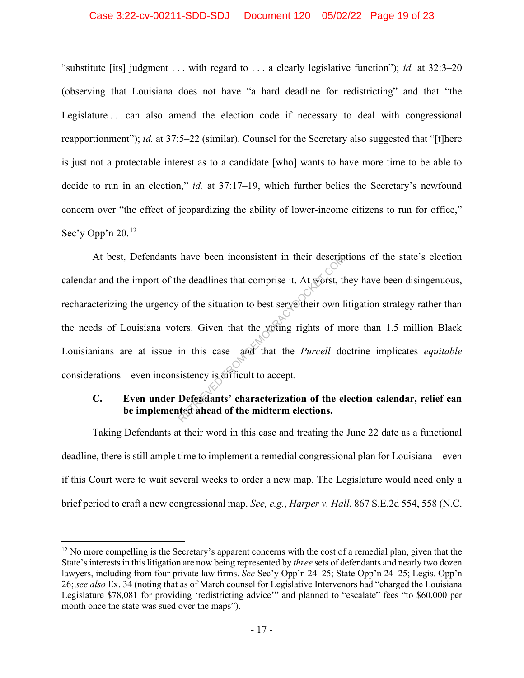#### Case 3:22-cv-00211-SDD-SDJ Document 120 05/02/22 Page 19 of 23

"substitute [its] judgment . . . with regard to . . . a clearly legislative function"); *id.* at 32:3–20 (observing that Louisiana does not have "a hard deadline for redistricting" and that "the Legislature . . . can also amend the election code if necessary to deal with congressional reapportionment"); *id.* at 37:5–22 (similar). Counsel for the Secretary also suggested that "[t]here is just not a protectable interest as to a candidate [who] wants to have more time to be able to decide to run in an election," *id.* at 37:17–19, which further belies the Secretary's newfound concern over "the effect of jeopardizing the ability of lower-income citizens to run for office," Sec'y Opp'n 20.<sup>12</sup>

At best, Defendants have been inconsistent in their descriptions of the state's election calendar and the import of the deadlines that comprise it. At worst, they have been disingenuous, recharacterizing the urgency of the situation to best serve their own litigation strategy rather than the needs of Louisiana voters. Given that the voting rights of more than 1.5 million Black Louisianians are at issue in this case—and that the *Purcell* doctrine implicates *equitable* considerations—even inconsistency is difficult to accept. have been inconsistent in their descriptions.<br>
The deadlines that comprise it. At worst, the condition to best serve their own lifers.<br>
Given that the yoting rights of m<br>
in this case—and that the *Purcell* do<br>
sistency is

## **C. Even under Defendants' characterization of the election calendar, relief can be implemented ahead of the midterm elections.**

Taking Defendants at their word in this case and treating the June 22 date as a functional deadline, there is still ample time to implement a remedial congressional plan for Louisiana—even if this Court were to wait several weeks to order a new map. The Legislature would need only a brief period to craft a new congressional map. *See, e.g.*, *Harper v. Hall*, 867 S.E.2d 554, 558 (N.C.

<sup>&</sup>lt;sup>12</sup> No more compelling is the Secretary's apparent concerns with the cost of a remedial plan, given that the State's interests in this litigation are now being represented by *three* sets of defendants and nearly two dozen lawyers, including from four private law firms. *See* Sec'y Opp'n 24–25; State Opp'n 24–25; Legis. Opp'n 26; *see also* Ex. 34 (noting that as of March counsel for Legislative Intervenors had "charged the Louisiana Legislature \$78,081 for providing 'redistricting advice'" and planned to "escalate" fees "to \$60,000 per month once the state was sued over the maps").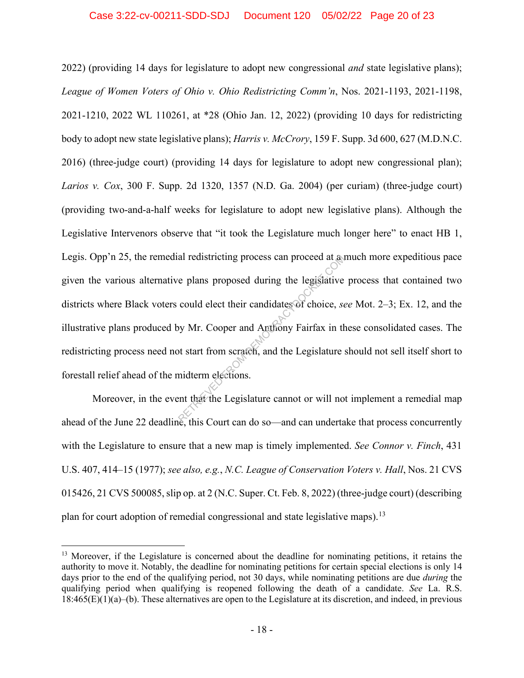#### Case 3:22-cv-00211-SDD-SDJ Document 120 05/02/22 Page 20 of 23

2022) (providing 14 days for legislature to adopt new congressional *and* state legislative plans); *League of Women Voters of Ohio v. Ohio Redistricting Comm'n*, Nos. 2021-1193, 2021-1198, 2021-1210, 2022 WL 110261, at \*28 (Ohio Jan. 12, 2022) (providing 10 days for redistricting body to adopt new state legislative plans); *Harris v. McCrory*, 159 F. Supp. 3d 600, 627 (M.D.N.C. 2016) (three-judge court) (providing 14 days for legislature to adopt new congressional plan); *Larios v. Cox*, 300 F. Supp. 2d 1320, 1357 (N.D. Ga. 2004) (per curiam) (three-judge court) (providing two-and-a-half weeks for legislature to adopt new legislative plans). Although the Legislative Intervenors observe that "it took the Legislature much longer here" to enact HB 1, Legis. Opp'n 25, the remedial redistricting process can proceed at a much more expeditious pace given the various alternative plans proposed during the legislative process that contained two districts where Black voters could elect their candidates of choice, *see* Mot. 2–3; Ex. 12, and the illustrative plans produced by Mr. Cooper and Anthony Fairfax in these consolidated cases. The redistricting process need not start from scratch, and the Legislature should not sell itself short to forestall relief ahead of the midterm elections. al redistricting process can proceed at a<br>
e plans proposed during the legislative<br>
could elect their candidates of choice, se<br>
by Mr. Cooper and Anthony Fairfax in the<br>
original of the Legislature<br>
midterm elections.<br>
ent

Moreover, in the event that the Legislature cannot or will not implement a remedial map ahead of the June 22 deadline, this Court can do so—and can undertake that process concurrently with the Legislature to ensure that a new map is timely implemented. *See Connor v. Finch*, 431 U.S. 407, 414–15 (1977); *see also, e.g.*, *N.C. League of Conservation Voters v. Hall*, Nos. 21 CVS 015426, 21 CVS 500085, slip op. at 2 (N.C. Super. Ct. Feb. 8, 2022) (three-judge court) (describing plan for court adoption of remedial congressional and state legislative maps).<sup>13</sup>

<sup>&</sup>lt;sup>13</sup> Moreover, if the Legislature is concerned about the deadline for nominating petitions, it retains the authority to move it. Notably, the deadline for nominating petitions for certain special elections is only 14 days prior to the end of the qualifying period, not 30 days, while nominating petitions are due *during* the qualifying period when qualifying is reopened following the death of a candidate. *See* La. R.S. 18:465(E)(1)(a)–(b). These alternatives are open to the Legislature at its discretion, and indeed, in previous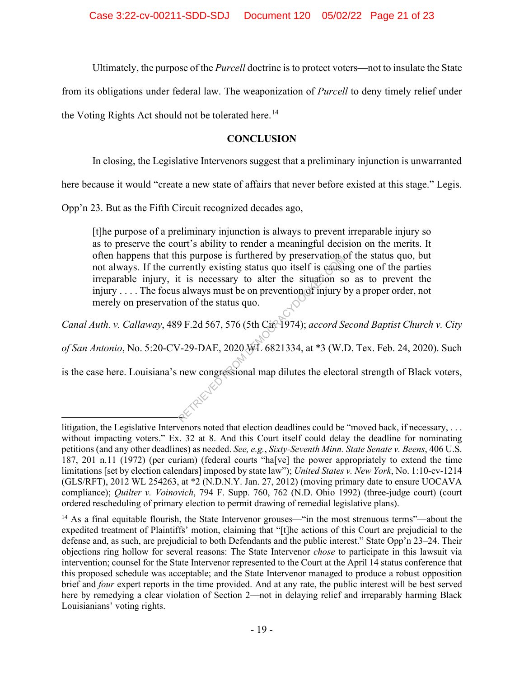Ultimately, the purpose of the *Purcell* doctrine is to protect voters—not to insulate the State

from its obligations under federal law. The weaponization of *Purcell* to deny timely relief under

the Voting Rights Act should not be tolerated here.<sup>14</sup>

## **CONCLUSION**

In closing, the Legislative Intervenors suggest that a preliminary injunction is unwarranted

here because it would "create a new state of affairs that never before existed at this stage." Legis.

Opp'n 23. But as the Fifth Circuit recognized decades ago,

[t]he purpose of a preliminary injunction is always to prevent irreparable injury so as to preserve the court's ability to render a meaningful decision on the merits. It often happens that this purpose is furthered by preservation of the status quo, but not always. If the currently existing status quo itself is causing one of the parties irreparable injury, it is necessary to alter the situation so as to prevent the injury . . . . The focus always must be on prevention of injury by a proper order, not merely on preservation of the status quo. In purpose is furthered by preservation are<br>rently existing status quo itself is causit<br>t is necessary to alter the situation so<br>always must be on prevention of injury l<br>on of the status quo.<br>9 F.2d 567, 576 (5th City 1974

*Canal Auth. v. Callaway*, 489 F.2d 567, 576 (5th Cir. 1974); *accord Second Baptist Church v. City of San Antonio*, No. 5:20-CV-29-DAE, 2020 WL 6821334, at \*3 (W.D. Tex. Feb. 24, 2020). Such

is the case here. Louisiana's new congressional map dilutes the electoral strength of Black voters,

litigation, the Legislative Intervenors noted that election deadlines could be "moved back, if necessary, . . . without impacting voters." Ex. 32 at 8. And this Court itself could delay the deadline for nominating petitions (and any other deadlines) as needed. *See, e.g.*, *Sixty-Seventh Minn. State Senate v. Beens*, 406 U.S. 187, 201 n.11 (1972) (per curiam) (federal courts "ha[ve] the power appropriately to extend the time limitations [set by election calendars] imposed by state law"); *United States v. New York*, No. 1:10-cv-1214 (GLS/RFT), 2012 WL 254263, at \*2 (N.D.N.Y. Jan. 27, 2012) (moving primary date to ensure UOCAVA compliance); *Quilter v. Voinovich*, 794 F. Supp. 760, 762 (N.D. Ohio 1992) (three-judge court) (court ordered rescheduling of primary election to permit drawing of remedial legislative plans).

<sup>&</sup>lt;sup>14</sup> As a final equitable flourish, the State Intervenor grouses—"in the most strenuous terms"—about the expedited treatment of Plaintiffs' motion, claiming that "[t]he actions of this Court are prejudicial to the defense and, as such, are prejudicial to both Defendants and the public interest." State Opp'n 23–24. Their objections ring hollow for several reasons: The State Intervenor *chose* to participate in this lawsuit via intervention; counsel for the State Intervenor represented to the Court at the April 14 status conference that this proposed schedule was acceptable; and the State Intervenor managed to produce a robust opposition brief and *four* expert reports in the time provided. And at any rate, the public interest will be best served here by remedying a clear violation of Section 2—not in delaying relief and irreparably harming Black Louisianians' voting rights.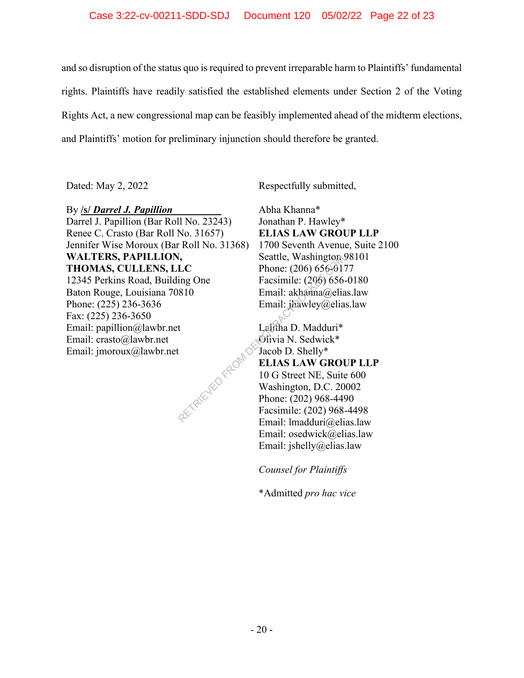#### Case 3:22-cv-00211-SDD-SDJ Document 120 05/02/22 Page 22 of 23

and so disruption of the status quo is required to prevent irreparable harm to Plaintiffs' fundamental rights. Plaintiffs have readily satisfied the established elements under Section 2 of the Voting Rights Act, a new congressional map can be feasibly implemented ahead of the midterm elections, and Plaintiffs' motion for preliminary injunction should therefore be granted.

Dated: May 2, 2022 Respectfully submitted,

### By **/s/** *Darrel J. Papillion* **\_\_\_\_\_\_\_\_\_**

Darrel J. Papillion (Bar Roll No. 23243) Renee C. Crasto (Bar Roll No. 31657) Jennifer Wise Moroux (Bar Roll No. 31368) **WALTERS, PAPILLION, THOMAS, CULLENS, LLC** 12345 Perkins Road, Building One Baton Rouge, Louisiana 70810 Phone: (225) 236-3636 Fax: (225) 236-3650 Email: papillion@lawbr.net Email: crasto@lawbr.net Email: jmoroux@lawbr.net RETRIEVED FROM D

Abha Khanna\* Jonathan P. Hawley\* **ELIAS LAW GROUP LLP** 1700 Seventh Avenue, Suite 2100 Seattle, Washington 98101 Phone: (206) 656-0177 Facsimile: (206) 656-0180 Email: akhanna@elias.law Email: jhawley@elias.law

Lalitha D. Madduri\* Olivia N. Sedwick\* Jacob D. Shelly\* **ELIAS LAW GROUP LLP** 10 G Street NE, Suite 600 Washington, D.C. 20002 Phone: (202) 968-4490 Facsimile: (202) 968-4498 Email: lmadduri@elias.law Email: osedwick@elias.law Email: jshelly@elias.law

*Counsel for Plaintiffs*

\*Admitted *pro hac vice*